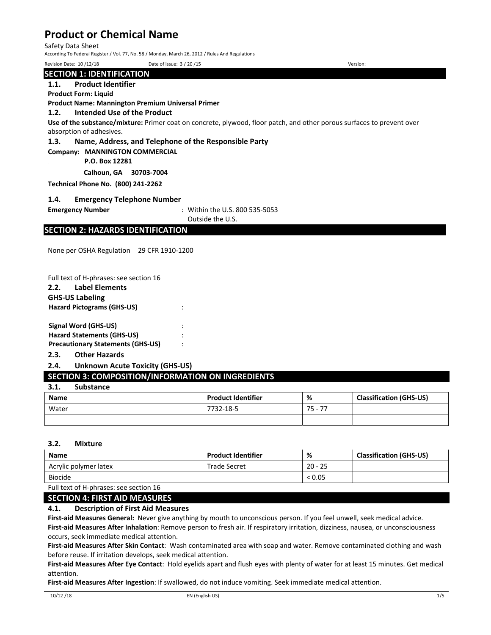Safety Data Sheet **Sheet** Sheet Sheet Sheet Sheet Sheet Sheet Sheet Sheet Sheet Sheet Sheet Sheet Sheet Sheet Sheet Sheet Sheet Sheet Sheet Sheet Sheet Sheet Sheet Sheet Sheet Sheet Sheet Sheet Sheet Sheet Sheet Sheet Shee

According To Federal Register / Vol. 77, No. 58 / Monday, March 26, 2012 / Rules And Regulations

Revision Date: 10/12/18 **Date of issue: 3/20/15** Detection: Network of issue: 3/20/15

#### **SECTION 1: IDENTIFICATION**

#### **1.1. Product Identifier**

**Product Form: Liquid** 

**Product Name: Mannington Premium Universal Primer** 

### **1.2. Intended Use of the Product**

**Use of the substance/mixture:** Primer coat on concrete, plywood, floor patch, and other porous surfaces to prevent over absorption of adhesives.

#### **1.3. Name, Address, and Telephone of the Responsible Party**

**Company: MANNINGTON COMMERCIAL** 

<sup>P</sup> **P.O. Box 12281** 

 **Calhoun, GA 30703‐7004** 

**Technical Phone No. (800) 241‐2262** 

#### **1.4. Emergency Telephone Number**

**Emergency Number 19.2.800 12.5 Emergency Number 19.5.800 535**-5053

Outside the U.S.

### **SECTION 2: HAZARDS IDENTIFICATION**

None per OSHA Regulation 29 CFR 1910‐1200

Full text of H‐phrases: see section 16

**GHS‐US Labeling** 

**Hazard Pictograms (GHS‐US)**  :

**Signal Word (GHS‐US)**  : **Hazard Statements (GHS‐US)**  : **Precautionary Statements (GHS‐US)**  :

**2.3. Other Hazards**

**2.4. Unknown Acute Toxicity (GHS‐US)** 

# **SECTION 3: COMPOSITION/INFORMATION ON INGREDIENTS**

**3.1. Substance** 

| <b>Name</b> | <b>Product Identifier</b> | %                                                          | <b>Classification (GHS-US)</b> |
|-------------|---------------------------|------------------------------------------------------------|--------------------------------|
| Water       | 7732-18-5                 | $\overline{\phantom{a}}$<br>75<br>$\overline{\phantom{0}}$ |                                |
|             |                           |                                                            |                                |

#### **3.2. Mixture**

| <b>Name</b>                            | <b>Product Identifier</b> | %         | <b>Classification (GHS-US)</b> |
|----------------------------------------|---------------------------|-----------|--------------------------------|
| Acrylic polymer latex                  | Trade Secret              | $20 - 25$ |                                |
| Biocide                                |                           | < 0.05    |                                |
| Full text of H-phrases: see section 16 |                           |           |                                |

#### **SECTION 4: FIRST AID MEASURES**

#### **4.1. Description of First Aid Measures**

First-aid Measures General: Never give anything by mouth to unconscious person. If you feel unwell, seek medical advice. **First‐aid Measures After Inhalation**: Remove person to fresh air. If respiratory irritation, dizziness, nausea, or unconsciousness occurs, seek immediate medical attention.

**First‐aid Measures After Skin Contact**: Wash contaminated area with soap and water. Remove contaminated clothing and wash before reuse. If irritation develops, seek medical attention.

**First‐aid Measures After Eye Contact**: Hold eyelids apart and flush eyes with plenty of water for at least 15 minutes. Get medical attention.

**First‐aid Measures After Ingestion**: If swallowed, do not induce vomiting. Seek immediate medical attention.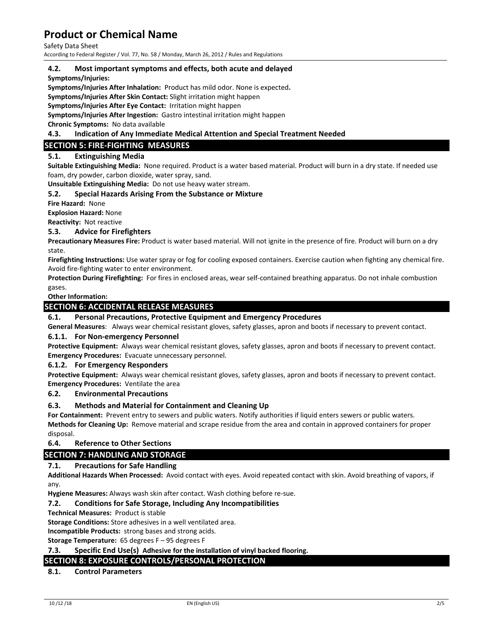Safety Data Sheet

According to Federal Register / Vol. 77, No. 58 / Monday, March 26, 2012 / Rules and Regulations

### **4.2. Most important symptoms and effects, both acute and delayed**

**Symptoms/Injuries:** 

**Symptoms/Injuries After Inhalation:** Product has mild odor. None is expected**.** 

**Symptoms/Injuries After Skin Contact:** Slight irritation might happen

Symptoms/Injuries After Eye Contact: Irritation might happen

Symptoms/Injuries After Ingestion: Gastro intestinal irritation might happen

**Chronic Symptoms:** No data available

#### **4.3. Indication of Any Immediate Medical Attention and Special Treatment Needed**

### **SECTION 5: FIRE‐FIGHTING MEASURES**

### **5.1. Extinguishing Media**

**Suitable Extinguishing Media:** None required. Product is a water based material. Product will burn in a dry state. If needed use foam, dry powder, carbon dioxide, water spray, sand.

**Unsuitable Extinguishing Media:** Do not use heavy water stream.

## **5.2. Special Hazards Arising From the Substance or Mixture**

**Fire Hazard: None** 

**Explosion Hazard:** None

**Reactivity: Not reactive** 

#### **5.3. Advice for Firefighters**

**Precautionary Measures Fire:** Product is water based material. Will not ignite in the presence of fire. Product will burn on a dry state.

**Firefighting Instructions:** Use water spray or fog for cooling exposed containers. Exercise caution when fighting any chemical fire. Avoid fire‐fighting water to enter environment.

**Protection During Firefighting:** For fires in enclosed areas, wear self‐contained breathing apparatus. Do not inhale combustion gases.

**Other Information:** 

## **SECTION 6: ACCIDENTAL RELEASE MEASURES**

#### **6.1. Personal Precautions, Protective Equipment and Emergency Procedures**

**General Measures**: Always wear chemical resistant gloves, safety glasses, apron and boots if necessary to prevent contact.

#### **6.1.1. For Non‐emergency Personnel**

**Protective Equipment:** Always wear chemical resistant gloves, safety glasses, apron and boots if necessary to prevent contact. **Emergency Procedures:** Evacuate unnecessary personnel.

#### **6.1.2. For Emergency Responders**

**Protective Equipment:** Always wear chemical resistant gloves, safety glasses, apron and boots if necessary to prevent contact. **Emergency Procedures: Ventilate the area** 

#### **6.2. Environmental Precautions**

#### **6.3. Methods and Material for Containment and Cleaning Up**

For Containment: Prevent entry to sewers and public waters. Notify authorities if liquid enters sewers or public waters. **Methods for Cleaning Up:** Remove material and scrape residue from the area and contain in approved containers for proper disposal.

**6.4. Reference to Other Sections**

#### **SECTION 7: HANDLING AND STORAGE**

#### **7.1. Precautions for Safe Handling**

**Additional Hazards When Processed:** Avoid contact with eyes. Avoid repeated contact with skin. Avoid breathing of vapors, if any.

**Hygiene Measures:** Always wash skin after contact. Wash clothing before re‐sue.

#### **7.2. Conditions for Safe Storage, Including Any Incompatibilities**

**Technical Measures:** Product is stable

**Storage Conditions:** Store adhesives in a well ventilated area.

**Incompatible Products:** strong bases and strong acids.

**Storage Temperature:** 65 degrees F – 95 degrees F

#### **7.3. Specific End Use(s) Adhesive for the installation of vinyl backed flooring.**

#### **SECTION 8: EXPOSURE CONTROLS/PERSONAL PROTECTION**

#### **8.1. Control Parameters**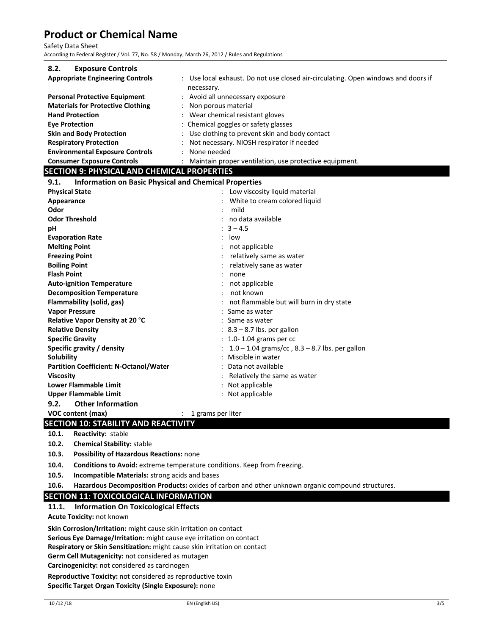Safety Data Sheet

According to Federal Register / Vol. 77, No. 58 / Monday, March 26, 2012 / Rules and Regulations

| 8.2.<br><b>Exposure Controls</b>                                     |                                                                                   |  |
|----------------------------------------------------------------------|-----------------------------------------------------------------------------------|--|
| <b>Appropriate Engineering Controls</b>                              | : Use local exhaust. Do not use closed air-circulating. Open windows and doors if |  |
|                                                                      | necessary.                                                                        |  |
| <b>Personal Protective Equipment</b>                                 | Avoid all unnecessary exposure                                                    |  |
| <b>Materials for Protective Clothing</b>                             | Non porous material                                                               |  |
| <b>Hand Protection</b>                                               | : Wear chemical resistant gloves                                                  |  |
| <b>Eye Protection</b>                                                | : Chemical goggles or safety glasses                                              |  |
| <b>Skin and Body Protection</b>                                      | Use clothing to prevent skin and body contact                                     |  |
| <b>Respiratory Protection</b>                                        | Not necessary. NIOSH respirator if needed                                         |  |
| <b>Environmental Exposure Controls</b>                               | None needed                                                                       |  |
| <b>Consumer Exposure Controls</b>                                    | Maintain proper ventilation, use protective equipment.                            |  |
| <b>SECTION 9: PHYSICAL AND CHEMICAL PROPERTIES</b>                   |                                                                                   |  |
| <b>Information on Basic Physical and Chemical Properties</b><br>9.1. |                                                                                   |  |
| <b>Physical State</b>                                                | Low viscosity liquid material                                                     |  |
| Appearance                                                           | White to cream colored liquid                                                     |  |
| Odor                                                                 | mild                                                                              |  |
| <b>Odor Threshold</b>                                                | no data available                                                                 |  |
| pH                                                                   | $: 3 - 4.5$                                                                       |  |
| <b>Evaporation Rate</b>                                              | $\ddot{\phantom{a}}$<br>low                                                       |  |
| <b>Melting Point</b>                                                 | not applicable                                                                    |  |
| <b>Freezing Point</b>                                                | relatively same as water                                                          |  |
| <b>Boiling Point</b>                                                 | relatively sane as water                                                          |  |
| <b>Flash Point</b>                                                   | none                                                                              |  |
| <b>Auto-ignition Temperature</b>                                     | not applicable                                                                    |  |
| <b>Decomposition Temperature</b>                                     | not known                                                                         |  |
| Flammability (solid, gas)                                            | not flammable but will burn in dry state                                          |  |
| <b>Vapor Pressure</b>                                                | Same as water                                                                     |  |
| Relative Vapor Density at 20 °C                                      | : Same as water                                                                   |  |
| <b>Relative Density</b>                                              | $: 8.3 - 8.7$ lbs. per gallon                                                     |  |
| <b>Specific Gravity</b>                                              | $: 1.0 - 1.04$ grams per cc                                                       |  |
| Specific gravity / density                                           | $1.0 - 1.04$ grams/cc, $8.3 - 8.7$ lbs. per gallon                                |  |
| Solubility                                                           | Miscible in water                                                                 |  |
| <b>Partition Coefficient: N-Octanol/Water</b>                        | : Data not available                                                              |  |
| <b>Viscosity</b>                                                     | Relatively the same as water                                                      |  |
| <b>Lower Flammable Limit</b>                                         | : Not applicable                                                                  |  |
| <b>Upper Flammable Limit</b>                                         | : Not applicable                                                                  |  |
| 9.2.<br><b>Other Information</b>                                     |                                                                                   |  |
| VOC content (max)<br>1 grams per liter                               |                                                                                   |  |
| <b>SECTION 10: STABILITY AND REACTIVITY</b>                          |                                                                                   |  |

- **10.1. Reactivity:** stable
- **10.2. Chemical Stability:** stable
- **10.3. Possibility of Hazardous Reactions:** none
- **10.4. Conditions to Avoid:** extreme temperature conditions. Keep from freezing.
- **10.5. Incompatible Materials:** strong acids and bases
- **10.6. Hazardous Decomposition Products:** oxides of carbon and other unknown organic compound structures.

## **SECTION 11: TOXICOLOGICAL INFORMATION**

#### **11.1. Information On Toxicological Effects**

**Acute Toxicity:** not known

**Skin Corrosion/Irritation:** might cause skin irritation on contact **Serious Eye Damage/Irritation:** might cause eye irritation on contact **Respiratory or Skin Sensitization:** might cause skin irritation on contact **Germ Cell Mutagenicity:** not considered as mutagen **Carcinogenicity:** not considered as carcinogen

**Reproductive Toxicity:** not considered as reproductive toxin **Specific Target Organ Toxicity (Single Exposure):** none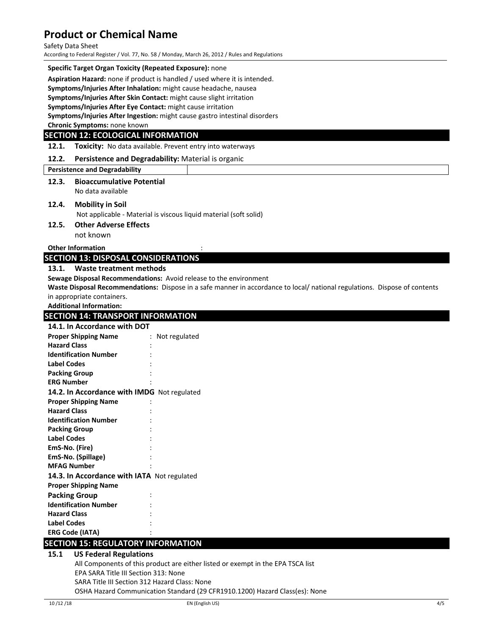#### Safety Data Sheet

According to Federal Register / Vol. 77, No. 58 / Monday, March 26, 2012 / Rules and Regulations

#### **Specific Target Organ Toxicity (Repeated Exposure):** none

**Aspiration Hazard:** none if product is handled / used where it is intended.

**Symptoms/Injuries After Inhalation:** might cause headache, nausea

**Symptoms/Injuries After Skin Contact:** might cause slight irritation

**Symptoms/Injuries After Eye Contact:** might cause irritation

**Symptoms/Injuries After Ingestion:** might cause gastro intestinal disorders

**Chronic Symptoms:** none known

# **SECTION 12: ECOLOGICAL INFORMATION**

**12.1. Toxicity:**  No data available. Prevent entry into waterways

### **12.2. Persistence and Degradability:** Material is organic

#### **Persistence and Degradability**

#### **12.3. Bioaccumulative Potential** No data available

#### **12.4. Mobility in Soil**

Not applicable ‐ Material is viscous liquid material (soft solid)

# **12.5. Other Adverse Effects**

not known

**Other Information** 

## **SECTION 13: DISPOSAL CONSIDERATIONS**

#### **13.1. Waste treatment methods**

**Sewage Disposal Recommendations:** Avoid release to the environment

**Waste Disposal Recommendations:** Dispose in a safe manner in accordance to local/ national regulations. Dispose of contents in appropriate containers.

**Additional Information:**

#### **SECTION 14: TRANSPORT INFORMATION**

| 14.1. In Accordance with DOT                |                 |
|---------------------------------------------|-----------------|
| <b>Proper Shipping Name</b>                 | : Not regulated |
| <b>Hazard Class</b>                         |                 |
| <b>Identification Number</b>                |                 |
| <b>Label Codes</b>                          |                 |
| <b>Packing Group</b>                        |                 |
| <b>ERG Number</b>                           |                 |
| 14.2. In Accordance with IMDG Not regulated |                 |
| <b>Proper Shipping Name</b>                 |                 |
| <b>Hazard Class</b>                         |                 |
| <b>Identification Number</b>                |                 |
| <b>Packing Group</b>                        |                 |
| <b>Label Codes</b>                          |                 |
| EmS-No. (Fire)                              |                 |
| EmS-No. (Spillage)                          |                 |
| <b>MFAG Number</b>                          |                 |
| 14.3. In Accordance with IATA Not regulated |                 |
| <b>Proper Shipping Name</b>                 |                 |
| <b>Packing Group</b>                        |                 |
| <b>Identification Number</b>                |                 |
| <b>Hazard Class</b>                         |                 |
| <b>Label Codes</b>                          |                 |
| <b>ERG Code (IATA)</b>                      |                 |
| <b>SECTION 15: REGULATORY INFORMATION</b>   |                 |
| <b>US Federal Regulations</b><br>15.1       |                 |
|                                             |                 |

All Components of this product are either listed or exempt in the EPA TSCA list EPA SARA Title III Section 313: None SARA Title III Section 312 Hazard Class: None

OSHA Hazard Communication Standard (29 CFR1910.1200) Hazard Class(es): None